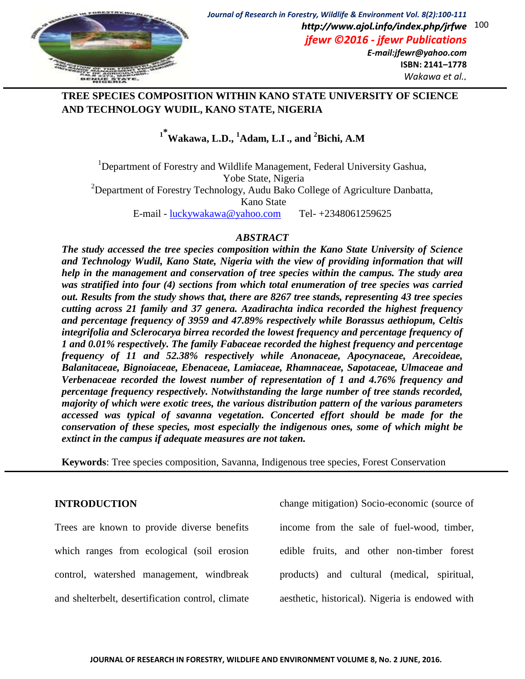

*Wakawa et al.,*

## **TREE SPECIES COMPOSITION WITHIN KANO STATE UNIVERSITY OF SCIENCE AND TECHNOLOGY WUDIL, KANO STATE, NIGERIA**

# **1\* Wakawa, L.D., <sup>1</sup>Adam, L.I., and <sup>2</sup>Bichi, A.M**

<sup>1</sup>Department of Forestry and Wildlife Management, Federal University Gashua, Yobe State, Nigeria <sup>2</sup>Department of Forestry Technology, Audu Bako College of Agriculture Danbatta, Kano State E-mail - [luckywakawa@yahoo.com](mailto:luckywakawa@yahoo.com) Tel- +2348061259625

## *ABSTRACT*

*The study accessed the tree species composition within the Kano State University of Science and Technology Wudil, Kano State, Nigeria with the view of providing information that will help in the management and conservation of tree species within the campus. The study area was stratified into four (4) sections from which total enumeration of tree species was carried out. Results from the study shows that, there are 8267 tree stands, representing 43 tree species cutting across 21 family and 37 genera. Azadirachta indica recorded the highest frequency and percentage frequency of 3959 and 47.89% respectively while Borassus aethiopum, Celtis integrifolia and Sclerocarya birrea recorded the lowest frequency and percentage frequency of 1 and 0.01% respectively. The family Fabaceae recorded the highest frequency and percentage frequency of 11 and 52.38% respectively while Anonaceae, Apocynaceae, Arecoideae, Balanitaceae, Bignoiaceae, Ebenaceae, Lamiaceae, Rhamnaceae, Sapotaceae, Ulmaceae and Verbenaceae recorded the lowest number of representation of 1 and 4.76% frequency and percentage frequency respectively. Notwithstanding the large number of tree stands recorded, majority of which were exotic trees, the various distribution pattern of the various parameters accessed was typical of savanna vegetation. Concerted effort should be made for the conservation of these species, most especially the indigenous ones, some of which might be extinct in the campus if adequate measures are not taken.*

**Keywords**: Tree species composition, Savanna, Indigenous tree species, Forest Conservation

## **INTRODUCTION**

Trees are known to provide diverse benefits which ranges from ecological (soil erosion control, watershed management, windbreak and shelterbelt, desertification control, climate change mitigation) Socio-economic (source of income from the sale of fuel-wood, timber, edible fruits, and other non-timber forest products) and cultural (medical, spiritual, aesthetic, historical). Nigeria is endowed with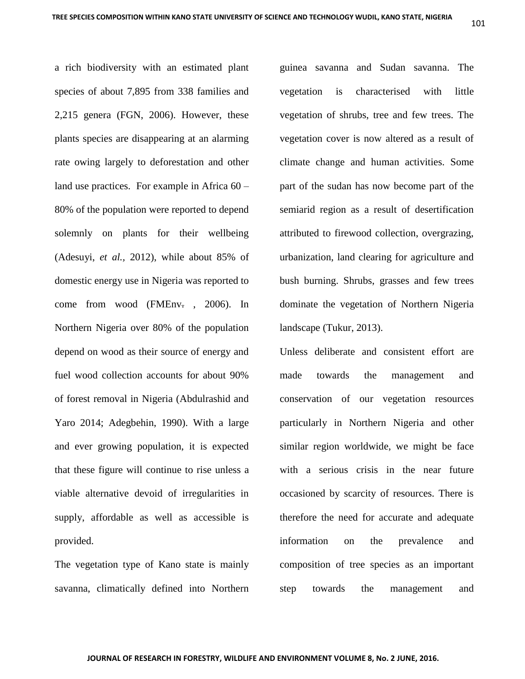a rich biodiversity with an estimated plant species of about 7,895 from 338 families and 2,215 genera (FGN, 2006). However, these plants species are disappearing at an alarming rate owing largely to deforestation and other land use practices. For example in Africa 60 – 80% of the population were reported to depend solemnly on plants for their wellbeing (Adesuyi, *et al.,* 2012), while about 85% of domestic energy use in Nigeria was reported to come from wood (FMEnv. , 2006). In Northern Nigeria over 80% of the population depend on wood as their source of energy and fuel wood collection accounts for about 90% of forest removal in Nigeria (Abdulrashid and Yaro 2014; Adegbehin, 1990). With a large and ever growing population, it is expected that these figure will continue to rise unless a viable alternative devoid of irregularities in supply, affordable as well as accessible is provided.

The vegetation type of Kano state is mainly savanna, climatically defined into Northern guinea savanna and Sudan savanna. The vegetation is characterised with little vegetation of shrubs, tree and few trees. The vegetation cover is now altered as a result of climate change and human activities. Some part of the sudan has now become part of the semiarid region as a result of desertification attributed to firewood collection, overgrazing, urbanization, land clearing for agriculture and bush burning. Shrubs, grasses and few trees dominate the vegetation of Northern Nigeria landscape (Tukur, 2013).

Unless deliberate and consistent effort are made towards the management and conservation of our vegetation resources particularly in Northern Nigeria and other similar region worldwide, we might be face with a serious crisis in the near future occasioned by scarcity of resources. There is therefore the need for accurate and adequate information on the prevalence and composition of tree species as an important step towards the management and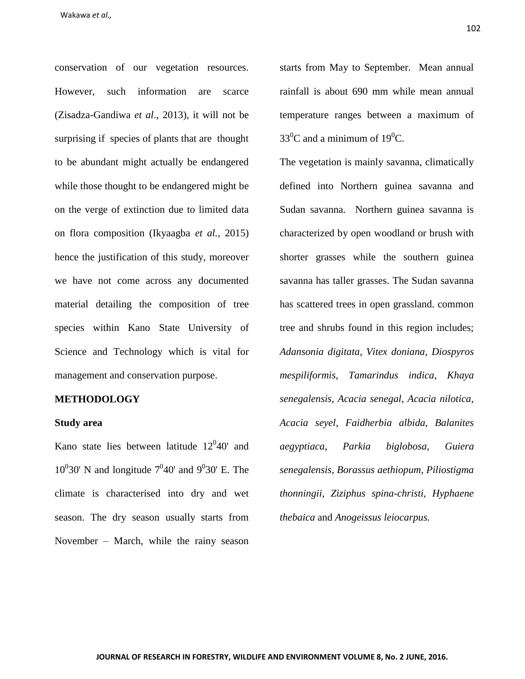conservation of our vegetation resources. However, such information are scarce (Zisadza-Gandiwa *et al*., 2013), it will not be surprising if species of plants that are thought to be abundant might actually be endangered while those thought to be endangered might be on the verge of extinction due to limited data on flora composition (Ikyaagba *et al.,* 2015) hence the justification of this study, moreover we have not come across any documented material detailing the composition of tree species within Kano State University of Science and Technology which is vital for management and conservation purpose.

#### **METHODOLOGY**

#### **Study area**

Kano state lies between latitude  $12^{0}40'$  and  $10^0$ 30' N and longitude  $7^0$ 40' and  $9^0$ 30' E. The climate is characterised into dry and wet season. The dry season usually starts from November – March, while the rainy season

starts from May to September. Mean annual rainfall is about 690 mm while mean annual temperature ranges between a maximum of  $33^0$ C and a minimum of 19<sup>0</sup>C.

The vegetation is mainly savanna, climatically defined into Northern guinea savanna and Sudan savanna. Northern guinea savanna is characterized by open woodland or brush with shorter grasses while the southern guinea savanna has taller grasses. The Sudan savanna has scattered trees in open grassland. common tree and shrubs found in this region includes; *Adansonia digitata, Vitex doniana, Diospyros mespiliformis, Tamarindus indica, Khaya senegalensis, Acacia senegal, Acacia nilotica, Acacia seyel, Faidherbia albida, Balanites aegyptiaca, Parkia biglobosa, Guiera senegalensis, Borassus aethiopum, Piliostigma thonningii, Ziziphus spina-christi, Hyphaene thebaica* and *Anogeissus leiocarpus.*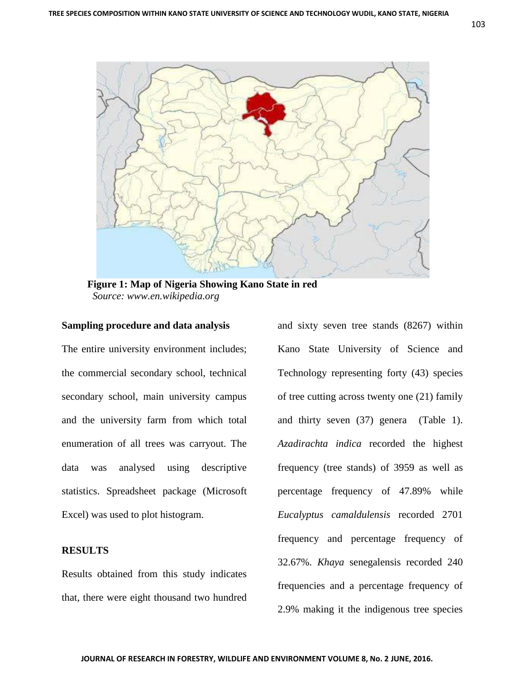

 **Figure 1: Map of Nigeria Showing Kano State in red**  *Source: www.en.wikipedia.org*

#### **Sampling procedure and data analysis**

The entire university environment includes; the commercial secondary school, technical secondary school, main university campus and the university farm from which total enumeration of all trees was carryout. The data was analysed using descriptive statistics. Spreadsheet package (Microsoft Excel) was used to plot histogram.

#### **RESULTS**

Results obtained from this study indicates that, there were eight thousand two hundred

and sixty seven tree stands (8267) within Kano State University of Science and Technology representing forty (43) species of tree cutting across twenty one (21) family and thirty seven (37) genera (Table 1). *Azadirachta indica* recorded the highest frequency (tree stands) of 3959 as well as percentage frequency of 47.89% while *Eucalyptus camaldulensis* recorded 2701 frequency and percentage frequency of 32.67%. *Khaya* senegalensis recorded 240 frequencies and a percentage frequency of 2.9% making it the indigenous tree species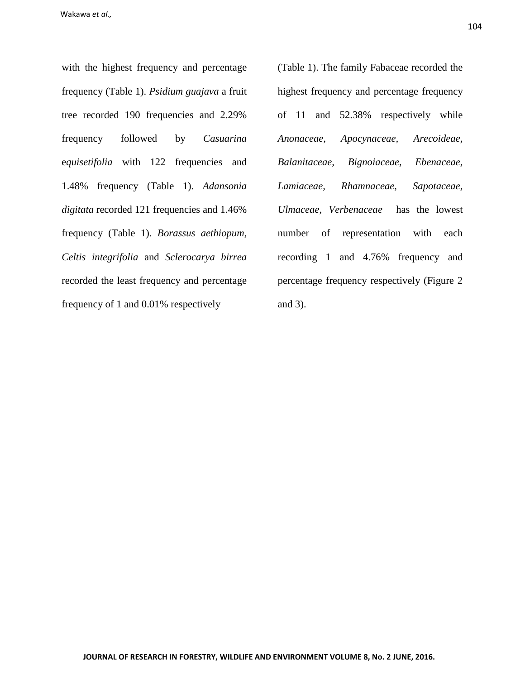with the highest frequency and percentage frequency (Table 1). *Psidium guajava* a fruit tree recorded 190 frequencies and 2.29% frequency followed by *Casuarina*  e*quisetifolia* with 122 frequencies and 1.48% frequency (Table 1). *Adansonia digitata* recorded 121 frequencies and 1.46% frequency (Table 1). *Borassus aethiopum, Celtis integrifolia* and *Sclerocarya birrea* recorded the least frequency and percentage frequency of 1 and 0.01% respectively

(Table 1). The family Fabaceae recorded the highest frequency and percentage frequency of 11 and 52.38% respectively while *Anonaceae, Apocynaceae, Arecoideae, Balanitaceae, Bignoiaceae, Ebenaceae, Lamiaceae, Rhamnaceae, Sapotaceae, Ulmaceae, Verbenaceae* has the lowest number of representation with each recording 1 and 4.76% frequency and percentage frequency respectively (Figure 2 and 3).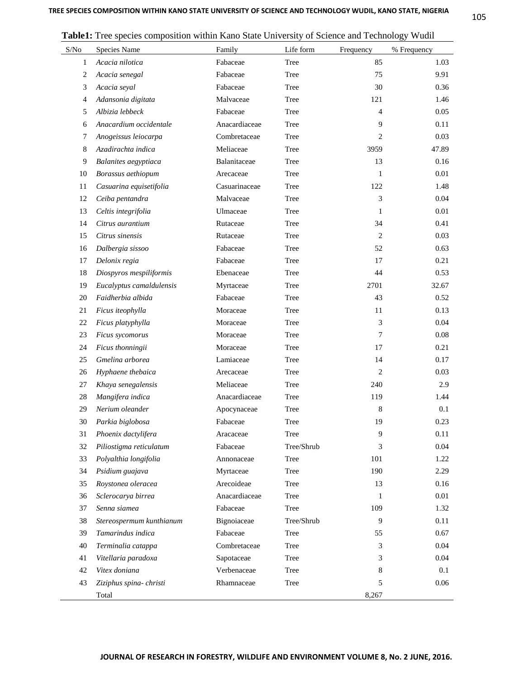| S/No           | Species Name             | Family        | Life form  | Frequency      | % Frequency |
|----------------|--------------------------|---------------|------------|----------------|-------------|
| 1              | Acacia nilotica          | Fabaceae      | Tree       | 85             | 1.03        |
| $\overline{c}$ | Acacia senegal           | Fabaceae      | Tree       | 75             | 9.91        |
| 3              | Acacia seyal             | Fabaceae      | Tree       | 30             | 0.36        |
| 4              | Adansonia digitata       | Malvaceae     | Tree       | 121            | 1.46        |
| 5              | Albizia lebbeck          | Fabaceae      | Tree       | $\overline{4}$ | 0.05        |
| 6              | Anacardium occidentale   | Anacardiaceae | Tree       | 9              | 0.11        |
| 7              | Anogeissus leiocarpa     | Combretaceae  | Tree       | $\overline{2}$ | 0.03        |
| 8              | Azadirachta indica       | Meliaceae     | Tree       | 3959           | 47.89       |
| 9              | Balanites aegyptiaca     | Balanitaceae  | Tree       | 13             | 0.16        |
| 10             | Borassus aethiopum       | Arecaceae     | Tree       | 1              | 0.01        |
| 11             | Casuarina equisetifolia  | Casuarinaceae | Tree       | 122            | 1.48        |
| 12             | Ceiba pentandra          | Malvaceae     | Tree       | 3              | 0.04        |
| 13             | Celtis integrifolia      | Ulmaceae      | Tree       | 1              | 0.01        |
| 14             | Citrus aurantium         | Rutaceae      | Tree       | 34             | 0.41        |
| 15             | Citrus sinensis          | Rutaceae      | Tree       | $\mathbf{2}$   | 0.03        |
| 16             | Dalbergia sissoo         | Fabaceae      | Tree       | 52             | 0.63        |
| 17             | Delonix regia            | Fabaceae      | Tree       | 17             | 0.21        |
| 18             | Diospyros mespiliformis  | Ebenaceae     | Tree       | 44             | 0.53        |
| 19             | Eucalyptus camaldulensis | Myrtaceae     | Tree       | 2701           | 32.67       |
| 20             | Faidherbia albida        | Fabaceae      | Tree       | 43             | 0.52        |
| 21             | Ficus iteophylla         | Moraceae      | Tree       | 11             | 0.13        |
| 22             | Ficus platyphylla        | Moraceae      | Tree       | 3              | 0.04        |
| 23             | Ficus sycomorus          | Moraceae      | Tree       | 7              | 0.08        |
| 24             | Ficus thonningii         | Moraceae      | Tree       | 17             | 0.21        |
| 25             | Gmelina arborea          | Lamiaceae     | Tree       | 14             | 0.17        |
| 26             | Hyphaene thebaica        | Arecaceae     | Tree       | $\mathbf{2}$   | 0.03        |
| 27             | Khaya senegalensis       | Meliaceae     | Tree       | 240            | 2.9         |
| 28             | Mangifera indica         | Anacardiaceae | Tree       | 119            | 1.44        |
| 29             | Nerium oleander          | Apocynaceae   | Tree       | 8              | 0.1         |
| 30             | Parkia biglobosa         | Fabaceae      | Tree       | 19             | 0.23        |
| 31             | Phoenix dactylifera      | Aracaceae     | Tree       | 9              | 0.11        |
| 32             | Piliostigma reticulatum  | Fabaceae      | Tree/Shrub | 3              | 0.04        |
| 33             | Polyalthia longifolia    | Annonaceae    | Tree       | 101            | 1.22        |
| 34             | Psidium guajava          | Myrtaceae     | Tree       | 190            | 2.29        |
| 35             | Roystonea oleracea       | Arecoideae    | Tree       | 13             | 0.16        |
| 36             | Sclerocarya birrea       | Anacardiaceae | Tree       | 1              | 0.01        |
| 37             | Senna siamea             | Fabaceae      | Tree       | 109            | 1.32        |
| 38             | Stereospermum kunthianum | Bignoiaceae   | Tree/Shrub | 9              | 0.11        |
| 39             | Tamarindus indica        | Fabaceae      | Tree       | 55             | 0.67        |
| 40             | Terminalia catappa       | Combretaceae  | Tree       | 3              | 0.04        |
| 41             | Vitellaria paradoxa      | Sapotaceae    | Tree       | 3              | 0.04        |
| 42             | Vitex doniana            | Verbenaceae   | Tree       | 8              | 0.1         |
| 43             | Ziziphus spina- christi  | Rhamnaceae    | Tree       | 5              | 0.06        |
|                | Total                    |               |            | 8,267          |             |

**Table1:** Tree species composition within Kano State University of Science and Technology Wudil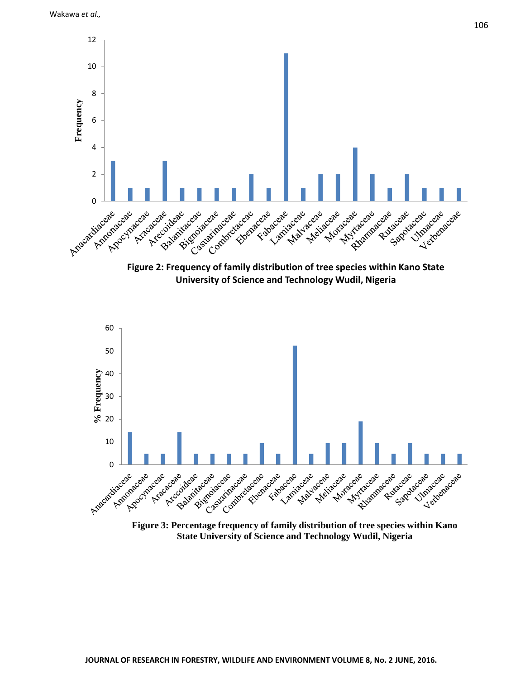

**University of Science and Technology Wudil, Nigeria**



**State University of Science and Technology Wudil, Nigeria**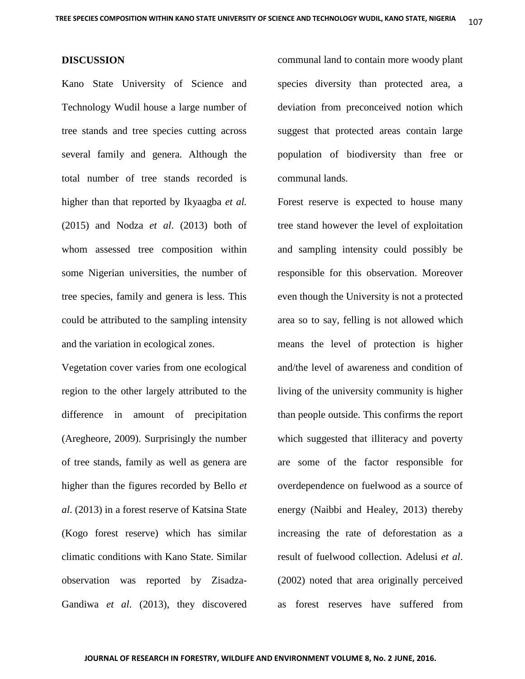#### **DISCUSSION**

Kano State University of Science and Technology Wudil house a large number of tree stands and tree species cutting across several family and genera. Although the total number of tree stands recorded is higher than that reported by Ikyaagba *et al.* (2015) and Nodza *et al*. (2013) both of whom assessed tree composition within some Nigerian universities, the number of tree species, family and genera is less. This could be attributed to the sampling intensity and the variation in ecological zones.

Vegetation cover varies from one ecological region to the other largely attributed to the difference in amount of precipitation (Aregheore, 2009). Surprisingly the number of tree stands, family as well as genera are higher than the figures recorded by Bello *et al*. (2013) in a forest reserve of Katsina State (Kogo forest reserve) which has similar climatic conditions with Kano State. Similar observation was reported by Zisadza-Gandiwa *et al*. (2013), they discovered communal land to contain more woody plant species diversity than protected area, a deviation from preconceived notion which suggest that protected areas contain large population of biodiversity than free or communal lands.

Forest reserve is expected to house many tree stand however the level of exploitation and sampling intensity could possibly be responsible for this observation. Moreover even though the University is not a protected area so to say, felling is not allowed which means the level of protection is higher and/the level of awareness and condition of living of the university community is higher than people outside. This confirms the report which suggested that illiteracy and poverty are some of the factor responsible for overdependence on fuelwood as a source of energy (Naibbi and Healey, 2013) thereby increasing the rate of deforestation as a result of fuelwood collection. Adelusi *et al*. (2002) noted that area originally perceived as forest reserves have suffered from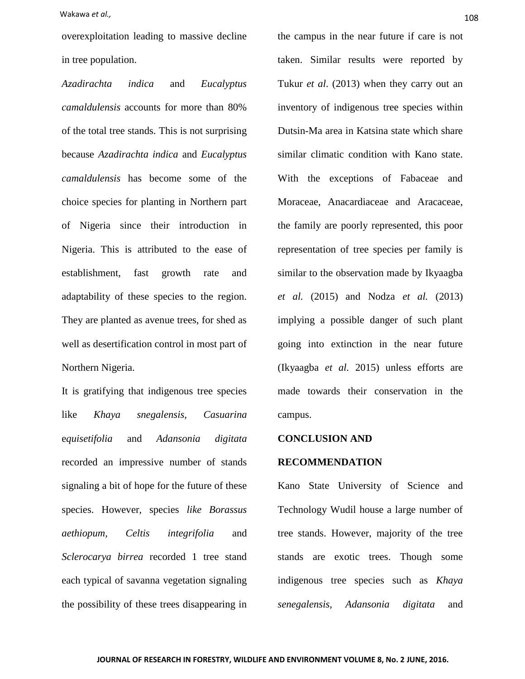Wakawa *et al.,* 108

overexploitation leading to massive decline in tree population.

*Azadirachta indica* and *Eucalyptus camaldulensis* accounts for more than 80% of the total tree stands. This is not surprising because *Azadirachta indica* and *Eucalyptus camaldulensis* has become some of the choice species for planting in Northern part of Nigeria since their introduction in Nigeria. This is attributed to the ease of establishment, fast growth rate and adaptability of these species to the region. They are planted as avenue trees, for shed as well as desertification control in most part of Northern Nigeria.

It is gratifying that indigenous tree species like *Khaya snegalensis, Casuarina*  e*quisetifolia* and *Adansonia digitata*  recorded an impressive number of stands signaling a bit of hope for the future of these species. However, species *like Borassus aethiopum, Celtis integrifolia* and *Sclerocarya birrea* recorded 1 tree stand each typical of savanna vegetation signaling the possibility of these trees disappearing in the campus in the near future if care is not taken. Similar results were reported by Tukur *et al*. (2013) when they carry out an inventory of indigenous tree species within Dutsin-Ma area in Katsina state which share similar climatic condition with Kano state. With the exceptions of Fabaceae and Moraceae, Anacardiaceae and Aracaceae, the family are poorly represented, this poor representation of tree species per family is similar to the observation made by Ikyaagba *et al.* (2015) and Nodza *et al.* (2013) implying a possible danger of such plant going into extinction in the near future (Ikyaagba *et al.* 2015) unless efforts are made towards their conservation in the campus.

#### **CONCLUSION AND**

#### **RECOMMENDATION**

Kano State University of Science and Technology Wudil house a large number of tree stands. However, majority of the tree stands are exotic trees. Though some indigenous tree species such as *Khaya senegalensis, Adansonia digitata* and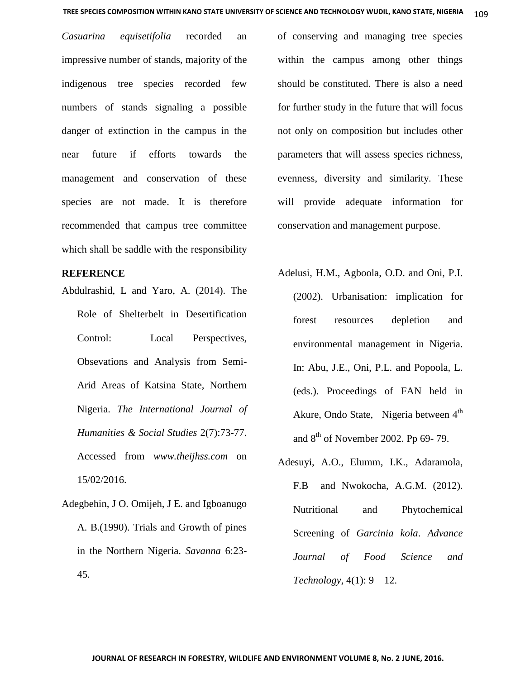*Casuarina equisetifolia* recorded an impressive number of stands, majority of the indigenous tree species recorded few numbers of stands signaling a possible danger of extinction in the campus in the near future if efforts towards the management and conservation of these species are not made. It is therefore recommended that campus tree committee which shall be saddle with the responsibility

### **REFERENCE**

- Abdulrashid, L and Yaro, A. (2014). The Role of Shelterbelt in Desertification Control: Local Perspectives, Obsevations and Analysis from Semi-Arid Areas of Katsina State, Northern Nigeria. *The International Journal of Humanities & Social Studies* 2(7):73-77. Accessed from *[www.theijhss.com](http://www.theijhss.com/)* on 15/02/2016.
- Adegbehin, J O. Omijeh, J E. and Igboanugo A. B.(1990). Trials and Growth of pines in the Northern Nigeria. *Savanna* 6:23- 45.

of conserving and managing tree species within the campus among other things should be constituted. There is also a need for further study in the future that will focus not only on composition but includes other parameters that will assess species richness, evenness, diversity and similarity. These will provide adequate information for conservation and management purpose.

- Adelusi, H.M., Agboola, O.D. and Oni, P.I. (2002). Urbanisation: implication for forest resources depletion and environmental management in Nigeria. In: Abu, J.E., Oni, P.L. and Popoola, L. (eds.). Proceedings of FAN held in Akure, Ondo State, Nigeria between 4<sup>th</sup> and  $8<sup>th</sup>$  of November 2002. Pp 69- 79.
- Adesuyi, A.O., Elumm, I.K., Adaramola, F.B and Nwokocha, A.G.M. (2012). Nutritional and Phytochemical Screening of *Garcinia kola*. *Advance Journal of Food Science and Technology,* 4(1): 9 – 12.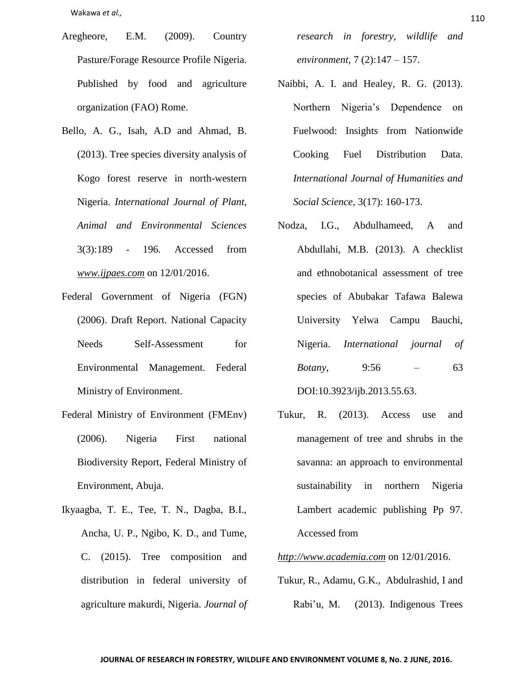Wakawa *et al.,* <sup>110</sup>

- Aregheore, E.M. (2009). Country Pasture/Forage Resource Profile Nigeria. Published by food and agriculture organization (FAO) Rome.
- Bello, A. G., Isah, A.D and Ahmad, B. (2013). Tree species diversity analysis of Kogo forest reserve in north-western Nigeria. *International Journal of Plant, Animal and Environmental Sciences* 3(3):189 - 196*.* Accessed from *[www.ijpaes.com](http://www.ijpaes.com/)* on 12/01/2016.
- Federal Government of Nigeria (FGN) (2006). Draft Report. National Capacity Needs Self-Assessment for Environmental Management. Federal Ministry of Environment.
- Federal Ministry of Environment (FMEnv) (2006). Nigeria First national Biodiversity Report, Federal Ministry of Environment, Abuja.
- Ikyaagba, T. E., Tee, T. N., Dagba, B.I., Ancha, U. P., Ngibo, K. D., and Tume, C. (2015). Tree composition and distribution in federal university of agriculture makurdi, Nigeria. *Journal of*

*research in forestry, wildlife and environment,* 7 (2):147 – 157.

- Naibbi, A. I. and Healey, R. G. (2013). Northern Nigeria's Dependence on Fuelwood: Insights from Nationwide Cooking Fuel Distribution Data. *International Journal of Humanities and Social Science,* 3(17): 160-173.
- Nodza, I.G., Abdulhameed, A and Abdullahi, M.B. (2013). A checklist and ethnobotanical assessment of tree species of Abubakar Tafawa Balewa University Yelwa Campu Bauchi, Nigeria. *International journal of Botany*, 9:56 – 63 DOI:10.3923/ijb.2013.55.63.
- Tukur, R. (2013). Access use and management of tree and shrubs in the savanna: an approach to environmental sustainability in northern Nigeria Lambert academic publishing Pp 97. Accessed from
- *[http://www.academia.com](http://www.academia.com/)* on 12/01/2016.
- Tukur, R., Adamu, G.K., Abdulrashid, I and Rabi'u, M. (2013). Indigenous Trees